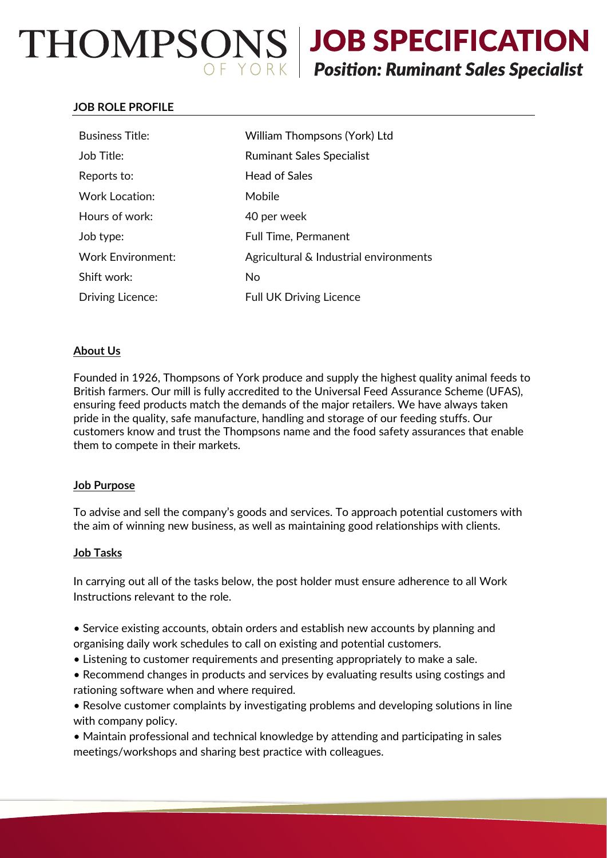# THOMPSONS JOB SPECIFICATION  $\overbrace{Y \circ R}$  Position: Ruminant Sales Specialist

# **JOB ROLE PROFILE**

| <b>Business Title:</b>   | William Thompsons (York) Ltd           |
|--------------------------|----------------------------------------|
| Job Title:               | <b>Ruminant Sales Specialist</b>       |
| Reports to:              | <b>Head of Sales</b>                   |
| <b>Work Location:</b>    | Mobile                                 |
| Hours of work:           | 40 per week                            |
| Job type:                | <b>Full Time, Permanent</b>            |
| <b>Work Environment:</b> | Agricultural & Industrial environments |
| Shift work:              | No                                     |
| <b>Driving Licence:</b>  | <b>Full UK Driving Licence</b>         |

# **About Us**

Founded in 1926, Thompsons of York produce and supply the highest quality animal feeds to British farmers. Our mill is fully accredited to the Universal Feed Assurance Scheme (UFAS), ensuring feed products match the demands of the major retailers. We have always taken pride in the quality, safe manufacture, handling and storage of our feeding stuffs. Our customers know and trust the Thompsons name and the food safety assurances that enable them to compete in their markets.

### **Job Purpose**

To advise and sell the company's goods and services. To approach potential customers with the aim of winning new business, as well as maintaining good relationships with clients.

### **Job Tasks**

In carrying out all of the tasks below, the post holder must ensure adherence to all Work Instructions relevant to the role.

- Service existing accounts, obtain orders and establish new accounts by planning and organising daily work schedules to call on existing and potential customers.
- Listening to customer requirements and presenting appropriately to make a sale.
- Recommend changes in products and services by evaluating results using costings and rationing software when and where required.
- Resolve customer complaints by investigating problems and developing solutions in line with company policy.

• Maintain professional and technical knowledge by attending and participating in sales meetings/workshops and sharing best practice with colleagues.